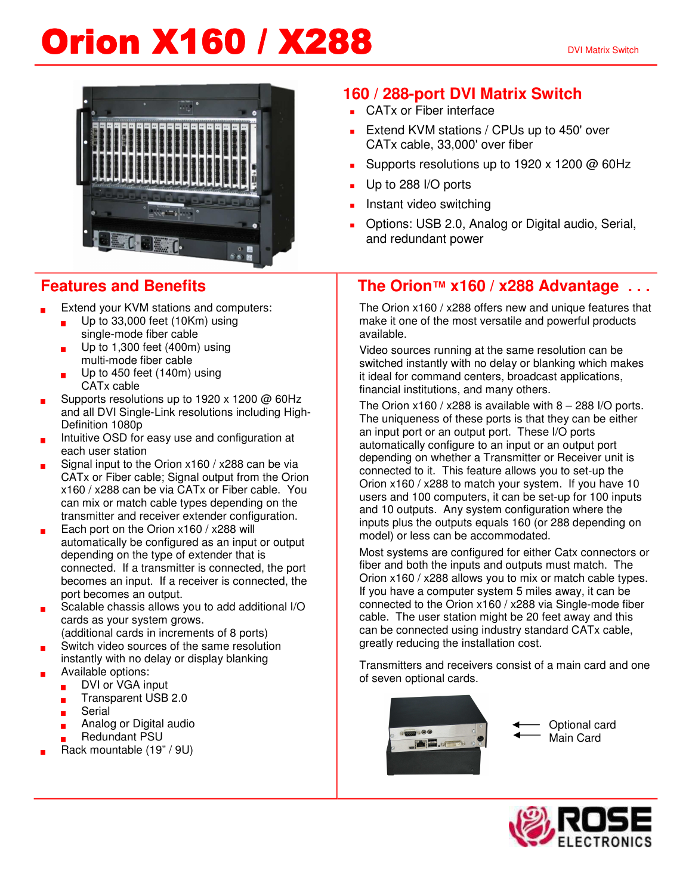# **Orion X160 / X288** DVI Matrix Switch



#### **Features and Benefits**

- Extend your KVM stations and computers:
	- **Up to 33,000 feet (10Km) using** single-mode fiber cable
	- Up to 1,300 feet (400m) using multi-mode fiber cable
	- Up to 450 feet (140m) using CATx cable
- Supports resolutions up to 1920 x 1200  $\omega$  60Hz and all DVI Single-Link resolutions including High-Definition 1080p
- Intuitive OSD for easy use and configuration at each user station
- Signal input to the Orion x160 / x288 can be via CATx or Fiber cable; Signal output from the Orion x160 / x288 can be via CATx or Fiber cable. You can mix or match cable types depending on the transmitter and receiver extender configuration.
- Each port on the Orion x160 / x288 will automatically be configured as an input or output depending on the type of extender that is connected. If a transmitter is connected, the port becomes an input. If a receiver is connected, the port becomes an output.
- Scalable chassis allows you to add additional I/O cards as your system grows.
- (additional cards in increments of 8 ports)
- Switch video sources of the same resolution instantly with no delay or display blanking Available options:
	- DVI or VGA input
	- **Transparent USB 2.0**
	- **Serial**
	- ? Analog or Digital audio
	- **Redundant PSU**
- Rack mountable (19" / 9U)

### **160 / 288-port DVI Matrix Switch**

- CAT<sub>x</sub> or Fiber interface
- Extend KVM stations / CPUs up to 450' over CATx cable, 33,000' over fiber
- Supports resolutions up to 1920 x 1200  $\omega$  60Hz
- Up to 288 I/O ports
- Instant video switching
- ? Options: USB 2.0, Analog or Digital audio, Serial, and redundant power

#### **The Orion™ x160 / x288 Advantage . . .**

The Orion x160 / x288 offers new and unique features that make it one of the most versatile and powerful products available.

Video sources running at the same resolution can be switched instantly with no delay or blanking which makes it ideal for command centers, broadcast applications, financial institutions, and many others.

The Orion  $x160 / x288$  is available with  $8 - 288$  I/O ports. The uniqueness of these ports is that they can be either an input port or an output port. These I/O ports automatically configure to an input or an output port depending on whether a Transmitter or Receiver unit is connected to it. This feature allows you to set-up the Orion x160 / x288 to match your system. If you have 10 users and 100 computers, it can be set-up for 100 inputs and 10 outputs. Any system configuration where the inputs plus the outputs equals 160 (or 288 depending on model) or less can be accommodated.

Most systems are configured for either Catx connectors or fiber and both the inputs and outputs must match. The Orion x160 / x288 allows you to mix or match cable types. If you have a computer system 5 miles away, it can be connected to the Orion x160 / x288 via Single-mode fiber cable. The user station might be 20 feet away and this can be connected using industry standard CATx cable, greatly reducing the installation cost.

Transmitters and receivers consist of a main card and one of seven optional cards.



Optional card Main Card